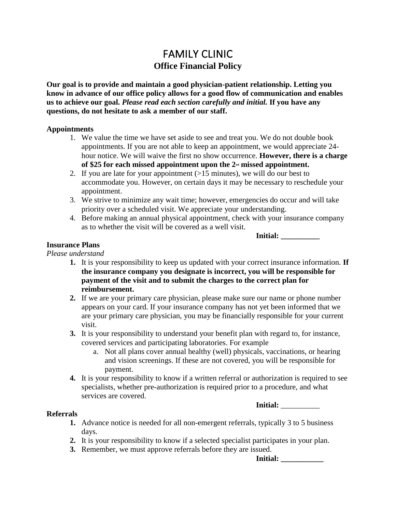# FAMILY CLINIC **Office Financial Policy**

**Our goal is to provide and maintain a good physician-patient relationship. Letting you know in advance of our office policy allows for a good flow of communication and enables us to achieve our goal.** *Please read each section carefully and initial.* **If you have any questions, do not hesitate to ask a member of our staff.**

#### **Appointments**

- 1. We value the time we have set aside to see and treat you. We do not double book appointments. If you are not able to keep an appointment, we would appreciate 24 hour notice. We will waive the first no show occurrence. **However, there is a charge of \$25 for each missed appointment upon the 2nd missed appointment.**
- 2. If you are late for your appointment  $(>15$  minutes), we will do our best to accommodate you. However, on certain days it may be necessary to reschedule your appointment.
- 3. We strive to minimize any wait time; however, emergencies do occur and will take priority over a scheduled visit. We appreciate your understanding.
- 4. Before making an annual physical appointment, check with your insurance company as to whether the visit will be covered as a well visit.

**Initial: \_\_\_\_\_\_\_\_\_\_**

## **Insurance Plans**

#### *Please understand*

- **1.** It is your responsibility to keep us updated with your correct insurance information. **If the insurance company you designate is incorrect, you will be responsible for payment of the visit and to submit the charges to the correct plan for reimbursement.**
- **2.** If we are your primary care physician, please make sure our name or phone number appears on your card. If your insurance company has not yet been informed that we are your primary care physician, you may be financially responsible for your current visit.
- **3.** It is your responsibility to understand your benefit plan with regard to, for instance, covered services and participating laboratories. For example
	- a. Not all plans cover annual healthy (well) physicals, vaccinations, or hearing and vision screenings. If these are not covered, you will be responsible for payment.
- **4.** It is your responsibility to know if a written referral or authorization is required to see specialists, whether pre-authorization is required prior to a procedure, and what services are covered.

**Initial:** \_\_\_\_\_\_\_\_\_\_

#### **Referrals**

- **1.** Advance notice is needed for all non-emergent referrals, typically 3 to 5 business days.
- **2.** It is your responsibility to know if a selected specialist participates in your plan.
- **3.** Remember, we must approve referrals before they are issued.

**Initial:**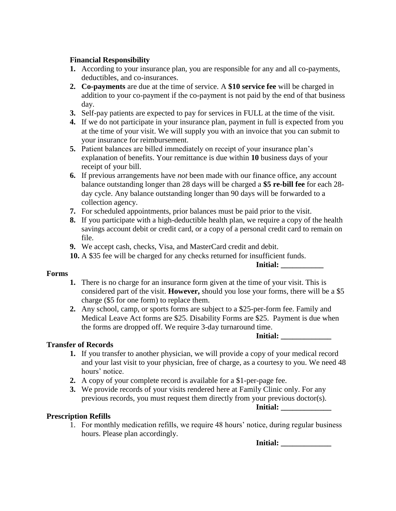# **Financial Responsibility**

- **1.** According to your insurance plan, you are responsible for any and all co-payments, deductibles, and co-insurances.
- **2. Co-payments** are due at the time of service. A **\$10 service fee** will be charged in addition to your co-payment if the co-payment is not paid by the end of that business day.
- **3.** Self-pay patients are expected to pay for services in FULL at the time of the visit.
- **4.** If we do not participate in your insurance plan, payment in full is expected from you at the time of your visit. We will supply you with an invoice that you can submit to your insurance for reimbursement.
- **5.** Patient balances are billed immediately on receipt of your insurance plan's explanation of benefits. Your remittance is due within **10** business days of your receipt of your bill.
- **6.** If previous arrangements have *not* been made with our finance office, any account balance outstanding longer than 28 days will be charged a **\$5 re-bill fee** for each 28 day cycle. Any balance outstanding longer than 90 days will be forwarded to a collection agency.
- **7.** For scheduled appointments, prior balances must be paid prior to the visit.
- **8.** If you participate with a high-deductible health plan, we require a copy of the health savings account debit or credit card, or a copy of a personal credit card to remain on file.
- **9.** We accept cash, checks, Visa, and MasterCard credit and debit.
- **10.** A \$35 fee will be charged for any checks returned for insufficient funds.

## **Initial: \_\_\_\_\_\_\_\_\_\_\_**

## **Forms**

- **1.** There is no charge for an insurance form given at the time of your visit. This is considered part of the visit. **However,** should you lose your forms, there will be a \$5 charge (\$5 for one form) to replace them.
- **2.** Any school, camp, or sports forms are subject to a \$25-per-form fee. Family and Medical Leave Act forms are \$25. Disability Forms are \$25. Payment is due when the forms are dropped off. We require 3-day turnaround time.

#### **Initial: \_\_\_\_\_\_\_\_\_\_\_\_\_**

## **Transfer of Records**

- **1.** If you transfer to another physician, we will provide a copy of your medical record and your last visit to your physician, free of charge, as a courtesy to you. We need 48 hours' notice.
- **2.** A copy of your complete record is available for a \$1-per-page fee.
- **3.** We provide records of your visits rendered here at Family Clinic only. For any previous records, you must request them directly from your previous doctor(s).

**Initial:** 

# **Prescription Refills**

1. For monthly medication refills, we require 48 hours' notice, during regular business hours. Please plan accordingly.

**Initial: \_\_\_\_\_\_\_\_\_\_\_\_\_**